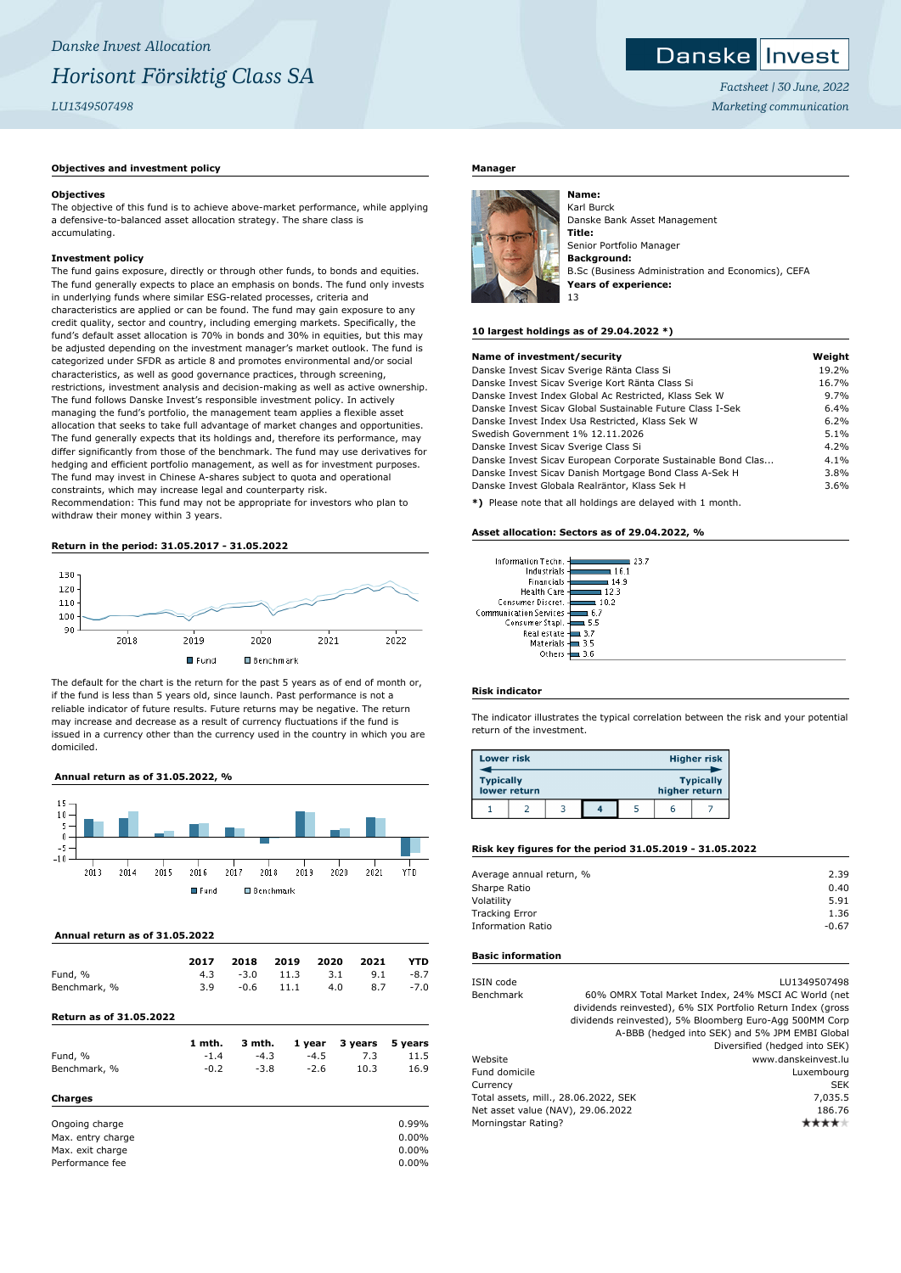#### Danske **I** Invest

*Factsheet | 30 June, 2022 Marketing communication*

## **Objectives and investment policy**

## **Objectives**

The objective of this fund is to achieve above-market performance, while applying a defensive-to-balanced asset allocation strategy. The share class is accumulating.

# **Investment policy**

The fund gains exposure, directly or through other funds, to bonds and equities. The fund generally expects to place an emphasis on bonds. The fund only invests in underlying funds where similar ESG-related processes, criteria and characteristics are applied or can be found. The fund may gain exposure to any credit quality, sector and country, including emerging markets. Specifically, the fund's default asset allocation is 70% in bonds and 30% in equities, but this may be adjusted depending on the investment manager's market outlook. The fund is categorized under SFDR as article 8 and promotes environmental and/or social characteristics, as well as good governance practices, through screening, restrictions, investment analysis and decision-making as well as active ownership. The fund follows Danske Invest's responsible investment policy. In actively managing the fund's portfolio, the management team applies a flexible asset allocation that seeks to take full advantage of market changes and opportunities. The fund generally expects that its holdings and, therefore its performance, may differ significantly from those of the benchmark. The fund may use derivatives for hedging and efficient portfolio management, as well as for investment purposes. The fund may invest in Chinese A-shares subject to quota and operational constraints, which may increase legal and counterparty risk.

Recommendation: This fund may not be appropriate for investors who plan to withdraw their money within 3 years.

## **Return in the period: 31.05.2017 - 31.05.2022**



The default for the chart is the return for the past 5 years as of end of month or, if the fund is less than 5 years old, since launch. Past performance is not a reliable indicator of future results. Future returns may be negative. The return may increase and decrease as a result of currency fluctuations if the fund is issued in a currency other than the currency used in the country in which you are domiciled.

## **Annual return as of 31.05.2022, %**



## **Annual return as of 31.05.2022**

|              | 2017 | 2018 2019 2020 2021 |     |                       | <b>YTD</b> |
|--------------|------|---------------------|-----|-----------------------|------------|
| Fund, %      |      |                     |     | 4.3 -3.0 11.3 3.1 9.1 | -8.7       |
| Benchmark, % | 3.9  | $-0.6$ 11.1         | 4.0 |                       | $8.7 -7.0$ |

## **Return as of 31.05.2022**

|                   | 1 mth. | 3 mth. | 1 year | 3 years | 5 years  |
|-------------------|--------|--------|--------|---------|----------|
| Fund, %           | $-1.4$ | $-4.3$ | $-4.5$ | 7.3     | 11.5     |
| Benchmark, %      | $-0.2$ | $-3.8$ | $-2.6$ | 10.3    | 16.9     |
| Charges           |        |        |        |         |          |
| Ongoing charge    |        |        |        |         | 0.99%    |
| Max. entry charge |        |        |        |         | $0.00\%$ |
| Max. exit charge  |        |        |        |         | $0.00\%$ |
| Performance fee   |        |        |        |         | 0.00%    |

## **Manager**



Karl Burck Danske Bank Asset Management **Title:** Senior Portfolio Manager **Background:** B.Sc (Business Administration and Economics), CEFA **Years of experience:** 13

## **10 largest holdings as of 29.04.2022 \*)**

| Name of investment/security                                  | Weight |
|--------------------------------------------------------------|--------|
| Danske Invest Sicav Sverige Ränta Class Si                   | 19.2%  |
| Danske Invest Sicav Sverige Kort Ränta Class Si              | 16.7%  |
| Danske Invest Index Global Ac Restricted, Klass Sek W        | 9.7%   |
| Danske Invest Sicay Global Sustainable Future Class I-Sek    | 6.4%   |
| Danske Invest Index Usa Restricted, Klass Sek W              | 6.2%   |
| Swedish Government 1% 12.11.2026                             | 5.1%   |
| Danske Invest Sicav Sverige Class Si                         | 4.2%   |
| Danske Invest Sicav European Corporate Sustainable Bond Clas | 4.1%   |
| Danske Invest Sicav Danish Mortgage Bond Class A-Sek H       | 3.8%   |
| Danske Invest Globala Realräntor, Klass Sek H                | 3.6%   |
|                                                              |        |

**\*)** Please note that all holdings are delayed with 1 month.

## **Asset allocation: Sectors as of 29.04.2022, %**

| Information Techn.            |      |
|-------------------------------|------|
| Industrials                   | 16.1 |
| Financials                    | 14.9 |
| <b>Health Care</b>            | 123  |
| Consumer Discret.             | 10.2 |
| <b>Communication Services</b> | 6.7  |
| Consumer Stapl.               | 55   |
| Real estate                   | 3.7  |
| Materials                     | 35   |
| Others                        |      |
|                               |      |

## **Risk indicator**

The indicator illustrates the typical correlation between the risk and your potential return of the investment.

| <b>Lower risk</b> |              |  |               | <b>Higher risk</b> |
|-------------------|--------------|--|---------------|--------------------|
| <b>Typically</b>  | lower return |  | higher return | <b>Typically</b>   |
|                   |              |  |               |                    |

#### **Risk key figures for the period 31.05.2019 - 31.05.2022**

| Average annual return, % | 2.39    |
|--------------------------|---------|
| Sharpe Ratio             | 0.40    |
| Volatility               | 5.91    |
| <b>Tracking Error</b>    | 1.36    |
| <b>Information Ratio</b> | $-0.67$ |
|                          |         |

#### **Basic information**

| ISIN code                            |  | LU1349507498                                                |
|--------------------------------------|--|-------------------------------------------------------------|
| Benchmark                            |  | 60% OMRX Total Market Index, 24% MSCI AC World (net         |
|                                      |  | dividends reinvested), 6% SIX Portfolio Return Index (gross |
|                                      |  | dividends reinvested), 5% Bloomberg Euro-Agg 500MM Corp     |
|                                      |  | A-BBB (hedged into SEK) and 5% JPM EMBI Global              |
|                                      |  | Diversified (hedged into SEK)                               |
| Website                              |  | www.danskeinvest.lu                                         |
| Fund domicile                        |  | Luxembourg                                                  |
| Currency                             |  | <b>SEK</b>                                                  |
| Total assets, mill., 28.06.2022, SEK |  | 7,035.5                                                     |
| Net asset value (NAV), 29.06.2022    |  | 186.76                                                      |
| Morningstar Rating?                  |  |                                                             |
|                                      |  |                                                             |